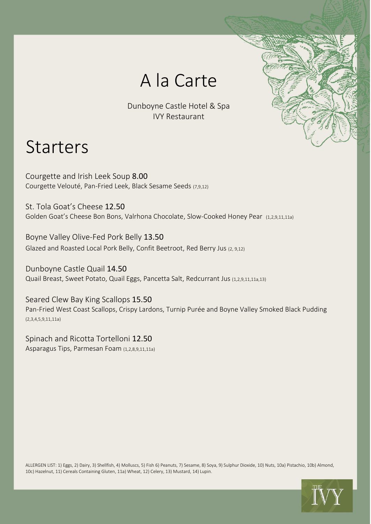

Dunboyne Castle Hotel & Spa IVY Restaurant

### Starters

Courgette and Irish Leek Soup 8.00 Courgette Velouté, Pan-Fried Leek, Black Sesame Seeds (7,9,12)

St. Tola Goat's Cheese 12.50 Golden Goat's Cheese Bon Bons, Valrhona Chocolate, Slow-Cooked Honey Pear (1,2,9,11,11a)

Boyne Valley Olive-Fed Pork Belly 13.50 Glazed and Roasted Local Pork Belly, Confit Beetroot, Red Berry Jus (2, 9,12)

Dunboyne Castle Quail 14.50 Quail Breast, Sweet Potato, Quail Eggs, Pancetta Salt, Redcurrant Jus (1,2,9,11,11a,13)

Seared Clew Bay King Scallops 15.50 Pan-Fried West Coast Scallops, Crispy Lardons, Turnip Purée and Boyne Valley Smoked Black Pudding (2,3,4,5,9,11,11a)

Spinach and Ricotta Tortelloni 12.50 Asparagus Tips, Parmesan Foam (1,2,8,9,11,11a)

ALLERGEN LIST: 1) Eggs, 2) Dairy, 3) Shellfish, 4) Molluscs, 5) Fish 6) Peanuts, 7) Sesame, 8) Soya, 9) Sulphur Dioxide, 10) Nuts, 10a) Pistachio, 10b) Almond, 10c) Hazelnut, 11) Cereals Containing Gluten, 11a) Wheat, 12) Celery, 13) Mustard, 14) Lupin.

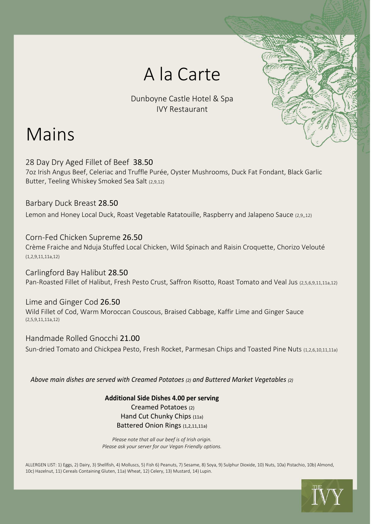## A la Carte

Dunboyne Castle Hotel & Spa IVY Restaurant

# Mains

28 Day Dry Aged Fillet of Beef 38.50 7oz Irish Angus Beef, Celeriac and Truffle Purée, Oyster Mushrooms, Duck Fat Fondant, Black Garlic Butter, Teeling Whiskey Smoked Sea Salt (2,9,12)

#### Barbary Duck Breast 28.50

Lemon and Honey Local Duck, Roast Vegetable Ratatouille, Raspberry and Jalapeno Sauce (2,9,,12)

#### Corn-Fed Chicken Supreme 26.50

Crème Fraiche and Nduja Stuffed Local Chicken, Wild Spinach and Raisin Croquette, Chorizo Velouté (1,2,9,11,11a,12)

Carlingford Bay Halibut 28.50 Pan-Roasted Fillet of Halibut, Fresh Pesto Crust, Saffron Risotto, Roast Tomato and Veal Jus (2,5,6,9,11,11a,12)

Lime and Ginger Cod 26.50 Wild Fillet of Cod, Warm Moroccan Couscous, Braised Cabbage, Kaffir Lime and Ginger Sauce (2,5,9,11,11a,12)

Handmade Rolled Gnocchi 21.00 Sun-dried Tomato and Chickpea Pesto, Fresh Rocket, Parmesan Chips and Toasted Pine Nuts (1,2,6,10,11,11a)

*Above main dishes are served with Creamed Potatoes (2) and Buttered Market Vegetables (2)*

**Additional Side Dishes 4.00 per serving**  Creamed Potatoes (2) Hand Cut Chunky Chips (11a) Battered Onion Rings (1,2,11,11a)

*Please note that all our beef is of Irish origin. Please ask your server for our Vegan Friendly options.*

ALLERGEN LIST: 1) Eggs, 2) Dairy, 3) Shellfish, 4) Molluscs, 5) Fish 6) Peanuts, 7) Sesame, 8) Soya, 9) Sulphur Dioxide, 10) Nuts, 10a) Pistachio, 10b) Almond, 10c) Hazelnut, 11) Cereals Containing Gluten, 11a) Wheat, 12) Celery, 13) Mustard, 14) Lupin.